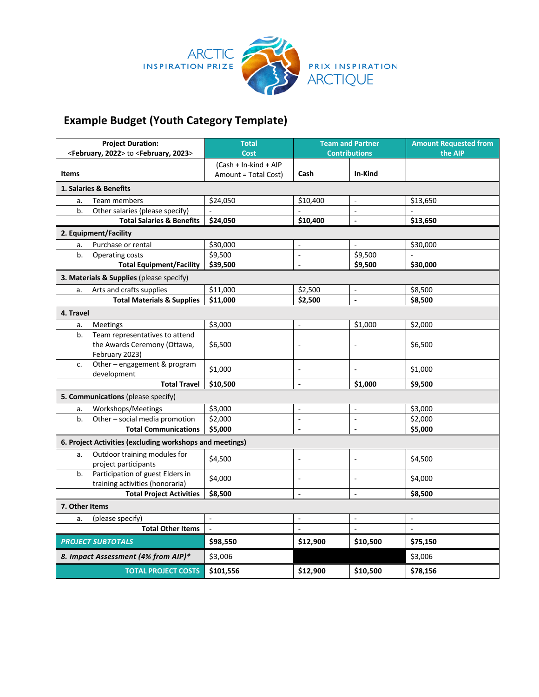

## **Example Budget (Youth Category Template)**

| <b>Project Duration:</b><br><february, 2022=""> to <february, 2023=""></february,></february,> |                                                                                  | <b>Total</b><br>Cost                          | <b>Team and Partner</b><br><b>Contributions</b> |                          | <b>Amount Requested from</b><br>the AIP |
|------------------------------------------------------------------------------------------------|----------------------------------------------------------------------------------|-----------------------------------------------|-------------------------------------------------|--------------------------|-----------------------------------------|
| <b>Items</b>                                                                                   |                                                                                  | (Cash + In-kind + AIP<br>Amount = Total Cost) | Cash                                            | In-Kind                  |                                         |
| 1. Salaries & Benefits                                                                         |                                                                                  |                                               |                                                 |                          |                                         |
| a.                                                                                             | Team members                                                                     | \$24,050                                      | \$10,400                                        | $\blacksquare$           | \$13,650                                |
| b.                                                                                             | Other salaries (please specify)                                                  | $\overline{a}$                                | $\overline{a}$                                  | $\overline{a}$           | $\mathbf{r}$                            |
|                                                                                                | <b>Total Salaries &amp; Benefits</b>                                             | \$24,050                                      | \$10,400                                        | $\blacksquare$           | \$13,650                                |
| 2. Equipment/Facility                                                                          |                                                                                  |                                               |                                                 |                          |                                         |
| a.                                                                                             | Purchase or rental                                                               | \$30,000                                      | ÷,                                              |                          | \$30,000                                |
| b.                                                                                             | Operating costs                                                                  | \$9,500                                       | $\Box$                                          | \$9,500                  | $\blacksquare$                          |
|                                                                                                | <b>Total Equipment/Facility</b>                                                  | \$39,500                                      |                                                 | \$9,500                  | \$30,000                                |
| 3. Materials & Supplies (please specify)                                                       |                                                                                  |                                               |                                                 |                          |                                         |
| a.                                                                                             | Arts and crafts supplies                                                         | \$11,000                                      | \$2,500                                         | $\blacksquare$           | \$8,500                                 |
|                                                                                                | <b>Total Materials &amp; Supplies</b>                                            | \$11,000                                      | \$2,500                                         | $\overline{a}$           | \$8,500                                 |
| 4. Travel                                                                                      |                                                                                  |                                               |                                                 |                          |                                         |
| a.                                                                                             | Meetings                                                                         | \$3,000                                       | $\overline{a}$                                  | \$1,000                  | \$2,000                                 |
| b.                                                                                             | Team representatives to attend<br>the Awards Ceremony (Ottawa,<br>February 2023) | \$6,500                                       | $\overline{a}$                                  | $\overline{\phantom{a}}$ | \$6,500                                 |
| c.                                                                                             | Other - engagement & program<br>development                                      | \$1,000                                       | $\overline{a}$                                  |                          | \$1,000                                 |
|                                                                                                | <b>Total Travel</b>                                                              | \$10,500                                      | $\blacksquare$                                  | \$1,000                  | \$9,500                                 |
| 5. Communications (please specify)                                                             |                                                                                  |                                               |                                                 |                          |                                         |
| a.                                                                                             | Workshops/Meetings                                                               | \$3,000                                       | $\overline{\phantom{a}}$                        | $\overline{\phantom{a}}$ | \$3,000                                 |
| b.                                                                                             | Other - social media promotion                                                   | \$2,000                                       | $\overline{\phantom{a}}$                        | $\mathbb{Z}$             | \$2,000                                 |
|                                                                                                | <b>Total Communications</b>                                                      | \$5,000                                       | $\overline{a}$                                  | $\overline{a}$           | \$5,000                                 |
| 6. Project Activities (excluding workshops and meetings)                                       |                                                                                  |                                               |                                                 |                          |                                         |
| a.                                                                                             | Outdoor training modules for<br>project participants                             | \$4,500                                       | $\blacksquare$                                  | $\bar{\phantom{a}}$      | \$4,500                                 |
| b.                                                                                             | Participation of guest Elders in<br>training activities (honoraria)              | \$4,000                                       | ÷,                                              | $\overline{\phantom{a}}$ | \$4,000                                 |
|                                                                                                | <b>Total Project Activities</b>                                                  | \$8,500                                       | $\overline{\phantom{a}}$                        | $\overline{a}$           | \$8,500                                 |
| 7. Other Items                                                                                 |                                                                                  |                                               |                                                 |                          |                                         |
| a.                                                                                             | (please specify)                                                                 | $\mathbb{L}$                                  | ä,                                              | $\bar{\phantom{a}}$      | $\overline{\phantom{a}}$                |
|                                                                                                | <b>Total Other Items</b>                                                         | $\blacksquare$                                | $\blacksquare$                                  | $\blacksquare$           | $\overline{\phantom{a}}$                |
| <b>PROJECT SUBTOTALS</b>                                                                       |                                                                                  | \$98,550                                      | \$12,900                                        | \$10,500                 | \$75,150                                |
| 8. Impact Assessment (4% from AIP)*                                                            |                                                                                  | \$3,006                                       |                                                 |                          | \$3,006                                 |
| <b>TOTAL PROJECT COSTS</b>                                                                     |                                                                                  | \$101,556                                     | \$12,900                                        | \$10,500                 | \$78,156                                |